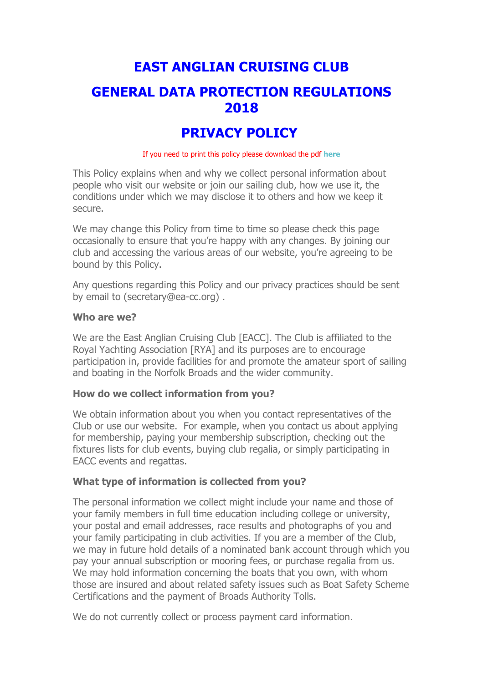# **EAST ANGLIAN CRUISING CLUB**

## **GENERAL DATA PROTECTION REGULATIONS 2018**

## **PRIVACY POLICY**

If you need to print this policy please download the pdf **here**

This Policy explains when and why we collect personal information about people who visit our website or join our sailing club, how we use it, the conditions under which we may disclose it to others and how we keep it secure.

We may change this Policy from time to time so please check this page occasionally to ensure that you're happy with any changes. By joining our club and accessing the various areas of our website, you're agreeing to be bound by this Policy.

Any questions regarding this Policy and our privacy practices should be sent by email to (secretary@ea-cc.org) .

#### **Who are we?**

We are the East Anglian Cruising Club [EACC]. The Club is affiliated to the Royal Yachting Association [RYA] and its purposes are to encourage participation in, provide facilities for and promote the amateur sport of sailing and boating in the Norfolk Broads and the wider community.

#### **How do we collect information from you?**

We obtain information about you when you contact representatives of the Club or use our website. For example, when you contact us about applying for membership, paying your membership subscription, checking out the fixtures lists for club events, buying club regalia, or simply participating in EACC events and regattas.

#### **What type of information is collected from you?**

The personal information we collect might include your name and those of your family members in full time education including college or university, your postal and email addresses, race results and photographs of you and your family participating in club activities. If you are a member of the Club, we may in future hold details of a nominated bank account through which you pay your annual subscription or mooring fees, or purchase regalia from us. We may hold information concerning the boats that you own, with whom those are insured and about related safety issues such as Boat Safety Scheme Certifications and the payment of Broads Authority Tolls.

We do not currently collect or process payment card information.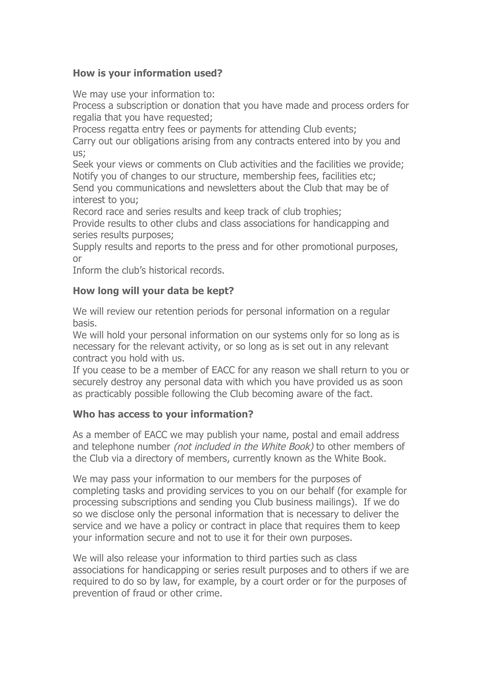## **How is your information used?**

We may use your information to:

Process a subscription or donation that you have made and process orders for regalia that you have requested;

Process regatta entry fees or payments for attending Club events;

Carry out our obligations arising from any contracts entered into by you and us;

Seek your views or comments on Club activities and the facilities we provide; Notify you of changes to our structure, membership fees, facilities etc; Send you communications and newsletters about the Club that may be of interest to you;

Record race and series results and keep track of club trophies;

Provide results to other clubs and class associations for handicapping and series results purposes;

Supply results and reports to the press and for other promotional purposes, or

Inform the club's historical records.

#### **How long will your data be kept?**

We will review our retention periods for personal information on a regular basis.

We will hold your personal information on our systems only for so long as is necessary for the relevant activity, or so long as is set out in any relevant contract you hold with us.

If you cease to be a member of EACC for any reason we shall return to you or securely destroy any personal data with which you have provided us as soon as practicably possible following the Club becoming aware of the fact.

#### **Who has access to your information?**

As a member of EACC we may publish your name, postal and email address and telephone number (not included in the White Book) to other members of the Club via a directory of members, currently known as the White Book.

We may pass your information to our members for the purposes of completing tasks and providing services to you on our behalf (for example for processing subscriptions and sending you Club business mailings). If we do so we disclose only the personal information that is necessary to deliver the service and we have a policy or contract in place that requires them to keep your information secure and not to use it for their own purposes.

We will also release your information to third parties such as class associations for handicapping or series result purposes and to others if we are required to do so by law, for example, by a court order or for the purposes of prevention of fraud or other crime.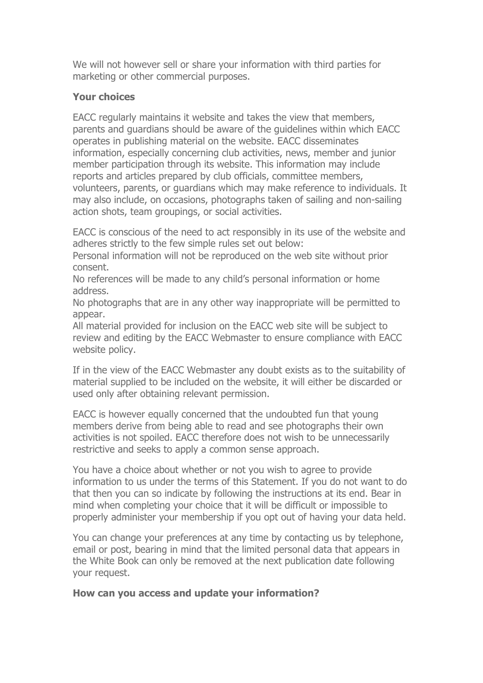We will not however sell or share your information with third parties for marketing or other commercial purposes.

#### **Your choices**

EACC regularly maintains it website and takes the view that members, parents and guardians should be aware of the guidelines within which EACC operates in publishing material on the website. EACC disseminates information, especially concerning club activities, news, member and junior member participation through its website. This information may include reports and articles prepared by club officials, committee members, volunteers, parents, or guardians which may make reference to individuals. It may also include, on occasions, photographs taken of sailing and non-sailing action shots, team groupings, or social activities.

EACC is conscious of the need to act responsibly in its use of the website and adheres strictly to the few simple rules set out below:

Personal information will not be reproduced on the web site without prior consent.

No references will be made to any child's personal information or home address.

No photographs that are in any other way inappropriate will be permitted to appear.

All material provided for inclusion on the EACC web site will be subject to review and editing by the EACC Webmaster to ensure compliance with EACC website policy.

If in the view of the EACC Webmaster any doubt exists as to the suitability of material supplied to be included on the website, it will either be discarded or used only after obtaining relevant permission.

EACC is however equally concerned that the undoubted fun that young members derive from being able to read and see photographs their own activities is not spoiled. EACC therefore does not wish to be unnecessarily restrictive and seeks to apply a common sense approach.

You have a choice about whether or not you wish to agree to provide information to us under the terms of this Statement. If you do not want to do that then you can so indicate by following the instructions at its end. Bear in mind when completing your choice that it will be difficult or impossible to properly administer your membership if you opt out of having your data held.

You can change your preferences at any time by contacting us by telephone, email or post, bearing in mind that the limited personal data that appears in the White Book can only be removed at the next publication date following your request.

#### **How can you access and update your information?**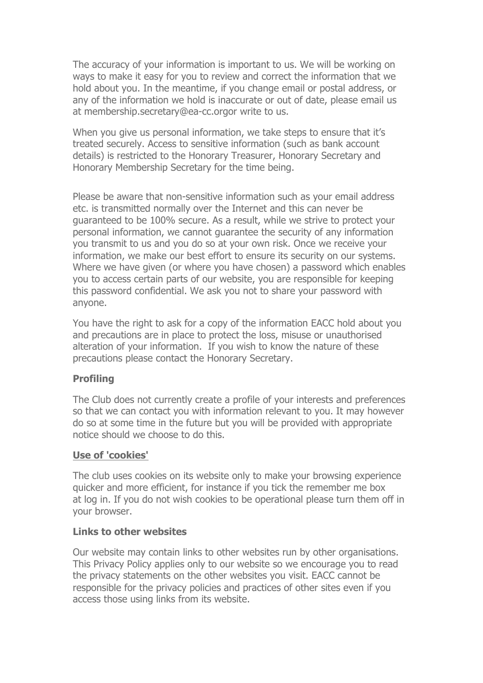The accuracy of your information is important to us. We will be working on ways to make it easy for you to review and correct the information that we hold about you. In the meantime, if you change email or postal address, or any of the information we hold is inaccurate or out of date, please email us at membership.secretary@ea-cc.orgor write to us.

When you give us personal information, we take steps to ensure that it's treated securely. Access to sensitive information (such as bank account details) is restricted to the Honorary Treasurer, Honorary Secretary and Honorary Membership Secretary for the time being.

Please be aware that non-sensitive information such as your email address etc. is transmitted normally over the Internet and this can never be guaranteed to be 100% secure. As a result, while we strive to protect your personal information, we cannot guarantee the security of any information you transmit to us and you do so at your own risk. Once we receive your information, we make our best effort to ensure its security on our systems. Where we have given (or where you have chosen) a password which enables you to access certain parts of our website, you are responsible for keeping this password confidential. We ask you not to share your password with anyone.

You have the right to ask for a copy of the information EACC hold about you and precautions are in place to protect the loss, misuse or unauthorised alteration of your information. If you wish to know the nature of these precautions please contact the Honorary Secretary.

#### **Profiling**

The Club does not currently create a profile of your interests and preferences so that we can contact you with information relevant to you. It may however do so at some time in the future but you will be provided with appropriate notice should we choose to do this.

#### **Use of 'cookies'**

The club uses cookies on its website only to make your browsing experience quicker and more efficient, for instance if you tick the remember me box at log in. If you do not wish cookies to be operational please turn them off in your browser.

#### **Links to other websites**

Our website may contain links to other websites run by other organisations. This Privacy Policy applies only to our website so we encourage you to read the privacy statements on the other websites you visit. EACC cannot be responsible for the privacy policies and practices of other sites even if you access those using links from its website.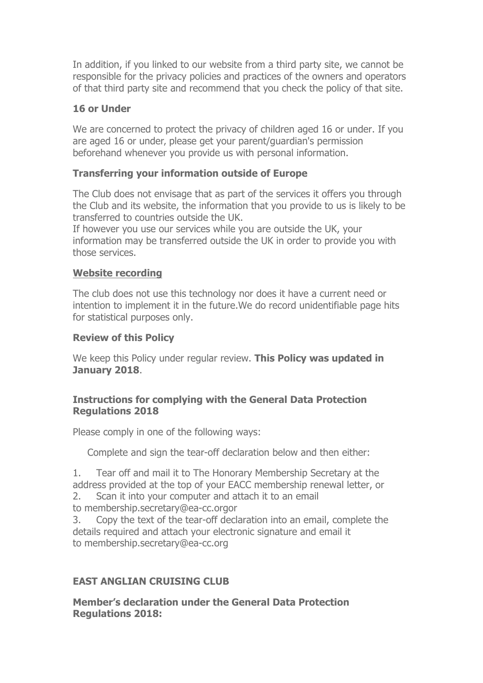In addition, if you linked to our website from a third party site, we cannot be responsible for the privacy policies and practices of the owners and operators of that third party site and recommend that you check the policy of that site.

#### **16 or Under**

We are concerned to protect the privacy of children aged 16 or under. If you are aged 16 or under, please get your parent/guardian's permission beforehand whenever you provide us with personal information.

### **Transferring your information outside of Europe**

The Club does not envisage that as part of the services it offers you through the Club and its website, the information that you provide to us is likely to be transferred to countries outside the UK.

If however you use our services while you are outside the UK, your information may be transferred outside the UK in order to provide you with those services.

### **Website recording**

The club does not use this technology nor does it have a current need or intention to implement it in the future.We do record unidentifiable page hits for statistical purposes only.

#### **Review of this Policy**

We keep this Policy under regular review. **This Policy was updated in January 2018**.

#### **Instructions for complying with the General Data Protection Regulations 2018**

Please comply in one of the following ways:

Complete and sign the tear-off declaration below and then either:

1. Tear off and mail it to The Honorary Membership Secretary at the address provided at the top of your EACC membership renewal letter, or 2. Scan it into your computer and attach it to an email

to membership.secretary@ea-cc.orgor

3. Copy the text of the tear-off declaration into an email, complete the details required and attach your electronic signature and email it to membership.secretary@ea-cc.org

## **EAST ANGLIAN CRUISING CLUB**

**Member's declaration under the General Data Protection Regulations 2018:**